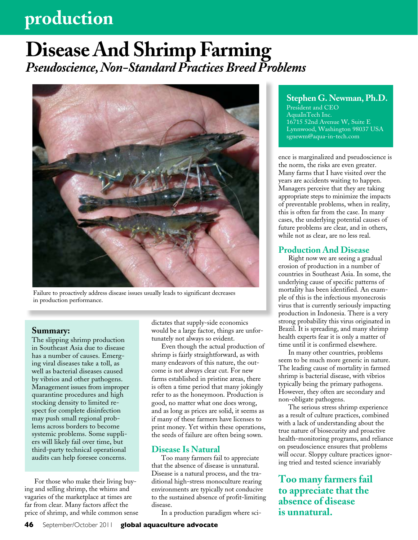## **production**

## **Disease And Shrimp Farming** *Pseudoscience, Non-Standard Practices Breed Problems*



Failure to proactively address disease issues usually leads to significant decreases in production performance.

### **Summary:**

The slipping shrimp production in Southeast Asia due to disease has a number of causes. Emerging viral diseases take a toll, as well as bacterial diseases caused by vibrios and other pathogens. Management issues from improper quarantine procedures and high stocking density to limited respect for complete disinfection may push small regional problems across borders to become systemic problems. Some suppliers will likely fail over time, but third-party technical operational audits can help foresee concerns.

For those who make their living buying and selling shrimp, the whims and vagaries of the marketplace at times are far from clear. Many factors affect the price of shrimp, and while common sense dictates that supply-side economics would be a large factor, things are unfortunately not always so evident.

Even though the actual production of shrimp is fairly straightforward, as with many endeavors of this nature, the outcome is not always clear cut. For new farms established in pristine areas, there is often a time period that many jokingly refer to as the honeymoon. Production is good, no matter what one does wrong, and as long as prices are solid, it seems as if many of these farmers have licenses to print money. Yet within these operations, the seeds of failure are often being sown.

### **Disease Is Natural**

Too many farmers fail to appreciate that the absence of disease is unnatural. Disease is a natural process, and the traditional high-stress monoculture rearing environments are typically not conducive to the sustained absence of profit-limiting disease.

In a production paradigm where sci-

### **Stephen G. Newman, Ph.D.**

President and CEO AquaInTech Inc. 16715 52nd Avenue W, Suite E Lynnwood, Washington 98037 USA sgnewm@aqua-in-tech.com

ence is marginalized and pseudoscience is the norm, the risks are even greater. Many farms that I have visited over the years are accidents waiting to happen. Managers perceive that they are taking appropriate steps to minimize the impacts of preventable problems, when in reality, this is often far from the case. In many cases, the underlying potential causes of future problems are clear, and in others, while not as clear, are no less real.

### **Production And Disease**

Right now we are seeing a gradual erosion of production in a number of countries in Southeast Asia. In some, the underlying cause of specific patterns of mortality has been identified. An example of this is the infectious myonecrosis virus that is currently seriously impacting production in Indonesia. There is a very strong probability this virus originated in Brazil. It is spreading, and many shrimp health experts fear it is only a matter of time until it is confirmed elsewhere.

In many other countries, problems seem to be much more generic in nature. The leading cause of mortality in farmed shrimp is bacterial disease, with vibrios typically being the primary pathogens. However, they often are secondary and non-obligate pathogens.

The serious stress shrimp experience as a result of culture practices, combined with a lack of understanding about the true nature of biosecurity and proactive health-monitoring programs, and reliance on pseudoscience ensures that problems will occur. Sloppy culture practices ignoring tried and tested science invariably

**Too many farmers fail to appreciate that the absence of disease is unnatural.**